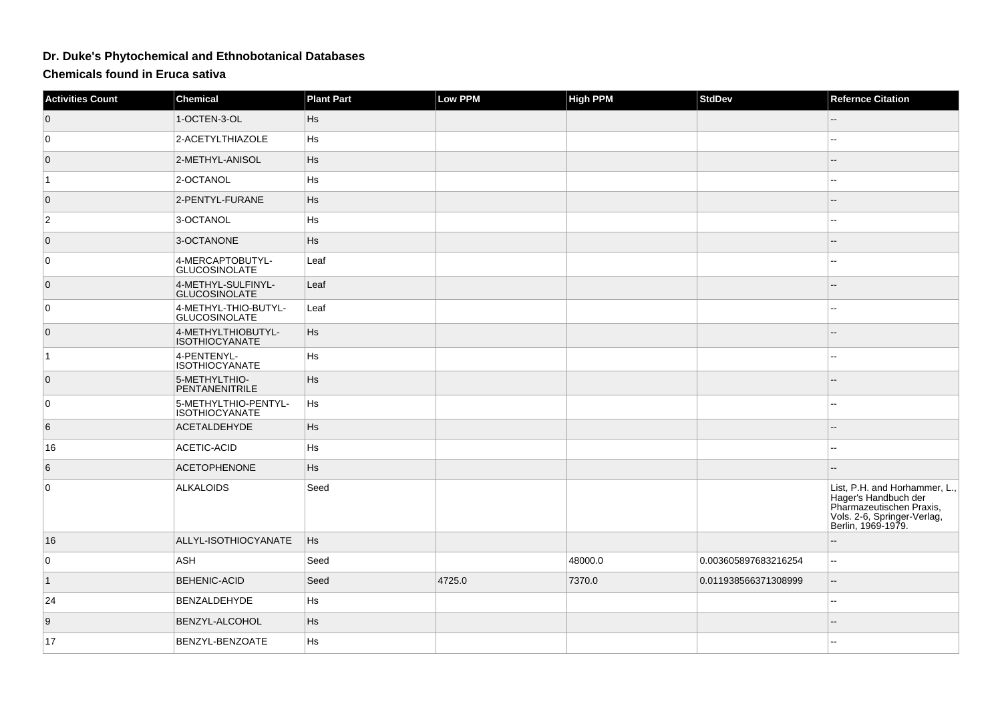## **Dr. Duke's Phytochemical and Ethnobotanical Databases**

**Chemicals found in Eruca sativa**

| <b>Activities Count</b> | <b>Chemical</b>                               | <b>Plant Part</b> | <b>Low PPM</b> | <b>High PPM</b> | <b>StdDev</b>        | <b>Refernce Citation</b>                                                                                                               |
|-------------------------|-----------------------------------------------|-------------------|----------------|-----------------|----------------------|----------------------------------------------------------------------------------------------------------------------------------------|
| $\overline{0}$          | 1-OCTEN-3-OL                                  | <b>Hs</b>         |                |                 |                      |                                                                                                                                        |
| 0                       | 2-ACETYLTHIAZOLE                              | Hs                |                |                 |                      | --                                                                                                                                     |
| $\overline{0}$          | 2-METHYL-ANISOL                               | Hs                |                |                 |                      | --                                                                                                                                     |
| $\vert$ 1               | 2-OCTANOL                                     | Hs                |                |                 |                      | --                                                                                                                                     |
| $\overline{0}$          | 2-PENTYL-FURANE                               | Hs                |                |                 |                      | --                                                                                                                                     |
| $\overline{2}$          | 3-OCTANOL                                     | Hs                |                |                 |                      | --                                                                                                                                     |
| $\overline{0}$          | 3-OCTANONE                                    | Hs                |                |                 |                      | --                                                                                                                                     |
| $\overline{0}$          | 4-MERCAPTOBUTYL-<br><b>GLUCOSINOLATE</b>      | Leaf              |                |                 |                      |                                                                                                                                        |
| $\overline{0}$          | 4-METHYL-SULFINYL-<br><b>GLUCOSINOLATE</b>    | Leaf              |                |                 |                      |                                                                                                                                        |
| 0                       | 4-METHYL-THIO-BUTYL-<br>GLUCOSINOLATE         | Leaf              |                |                 |                      |                                                                                                                                        |
| $\overline{0}$          | 4-METHYLTHIOBUTYL-<br><b>ISOTHIOCYANATE</b>   | Hs                |                |                 |                      |                                                                                                                                        |
| $\overline{1}$          | 4-PENTENYL-<br><b>ISOTHIOCYANATE</b>          | Hs                |                |                 |                      | --                                                                                                                                     |
| $\overline{0}$          | 5-METHYLTHIO-<br>PENTANENITRILE               | H <sub>s</sub>    |                |                 |                      | --                                                                                                                                     |
| $\overline{0}$          | 5-METHYLTHIO-PENTYL-<br><b>ISOTHIOCYANATE</b> | Hs                |                |                 |                      |                                                                                                                                        |
| 6                       | <b>ACETALDEHYDE</b>                           | Hs                |                |                 |                      |                                                                                                                                        |
| 16                      | ACETIC-ACID                                   | Hs                |                |                 |                      |                                                                                                                                        |
| 6                       | <b>ACETOPHENONE</b>                           | Hs                |                |                 |                      |                                                                                                                                        |
| $\overline{0}$          | <b>ALKALOIDS</b>                              | Seed              |                |                 |                      | List, P.H. and Horhammer, L.,<br>Hager's Handbuch der<br>Pharmazeutischen Praxis,<br>Vols. 2-6, Springer-Verlag,<br>Berlin, 1969-1979. |
| 16                      | ALLYL-ISOTHIOCYANATE                          | <b>Hs</b>         |                |                 |                      |                                                                                                                                        |
| $\overline{0}$          | ASH                                           | Seed              |                | 48000.0         | 0.003605897683216254 | н.                                                                                                                                     |
| $\vert$ 1               | <b>BEHENIC-ACID</b>                           | Seed              | 4725.0         | 7370.0          | 0.011938566371308999 | Ξ.                                                                                                                                     |
| 24                      | BENZALDEHYDE                                  | Hs                |                |                 |                      |                                                                                                                                        |
| 9                       | BENZYL-ALCOHOL                                | Hs                |                |                 |                      | --                                                                                                                                     |
| 17                      | BENZYL-BENZOATE                               | Hs                |                |                 |                      |                                                                                                                                        |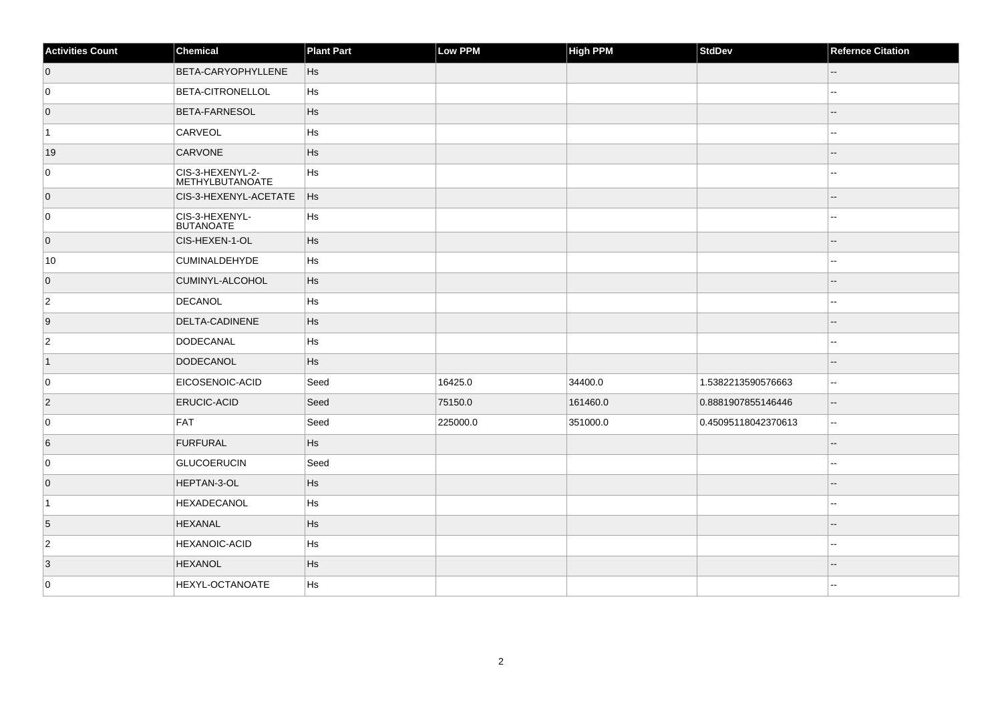| <b>Activities Count</b> | Chemical                            | <b>Plant Part</b> | Low PPM  | <b>High PPM</b> | <b>StdDev</b>       | <b>Refernce Citation</b>    |
|-------------------------|-------------------------------------|-------------------|----------|-----------------|---------------------|-----------------------------|
| $\overline{0}$          | BETA-CARYOPHYLLENE                  | Hs                |          |                 |                     | --                          |
| 0                       | <b>BETA-CITRONELLOL</b>             | Hs                |          |                 |                     |                             |
| $\overline{0}$          | <b>BETA-FARNESOL</b>                | Hs                |          |                 |                     | --                          |
| $\vert$ 1               | CARVEOL                             | Hs                |          |                 |                     | --                          |
| 19                      | <b>CARVONE</b>                      | Hs                |          |                 |                     |                             |
| 0                       | CIS-3-HEXENYL-2-<br>METHYLBUTANOATE | Hs                |          |                 |                     |                             |
| $\overline{0}$          | CIS-3-HEXENYL-ACETATE               | Hs                |          |                 |                     |                             |
| 0                       | CIS-3-HEXENYL-<br><b>BUTANOATE</b>  | Hs                |          |                 |                     | $\overline{a}$              |
| $\overline{0}$          | CIS-HEXEN-1-OL                      | Hs                |          |                 |                     |                             |
| 10                      | <b>CUMINALDEHYDE</b>                | Hs                |          |                 |                     |                             |
| $\overline{0}$          | CUMINYL-ALCOHOL                     | Hs                |          |                 |                     |                             |
| $\overline{2}$          | DECANOL                             | Hs                |          |                 |                     |                             |
| 9                       | DELTA-CADINENE                      | Hs                |          |                 |                     |                             |
| $\overline{c}$          | DODECANAL                           | Hs                |          |                 |                     | $\overline{\phantom{a}}$    |
| $\vert$ 1               | DODECANOL                           | Hs                |          |                 |                     | $-$                         |
| 0                       | EICOSENOIC-ACID                     | Seed              | 16425.0  | 34400.0         | 1.5382213590576663  | $\mathbf{u}$                |
| $\overline{2}$          | <b>ERUCIC-ACID</b>                  | Seed              | 75150.0  | 161460.0        | 0.8881907855146446  | --                          |
| 0                       | <b>FAT</b>                          | Seed              | 225000.0 | 351000.0        | 0.45095118042370613 | $\mathcal{L}_{\mathcal{F}}$ |
| 6                       | FURFURAL                            | Hs                |          |                 |                     | $\overline{a}$              |
| 0                       | <b>GLUCOERUCIN</b>                  | Seed              |          |                 |                     | $\overline{a}$              |
| $\overline{0}$          | HEPTAN-3-OL                         | Hs                |          |                 |                     | --                          |
| $\vert$ 1               | HEXADECANOL                         | Hs                |          |                 |                     | --                          |
| 5                       | <b>HEXANAL</b>                      | Hs                |          |                 |                     |                             |
| $\vert$ 2               | <b>HEXANOIC-ACID</b>                | Hs                |          |                 |                     | --                          |
| 3                       | <b>HEXANOL</b>                      | Hs                |          |                 |                     | $-$                         |
| 0                       | HEXYL-OCTANOATE                     | Hs                |          |                 |                     |                             |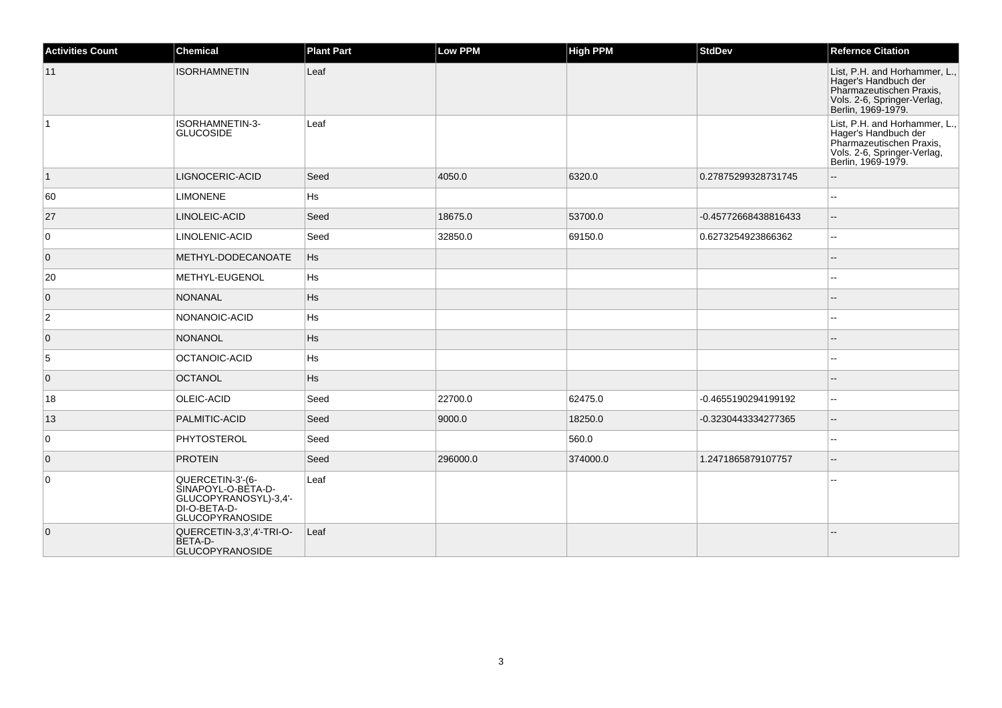| <b>Activities Count</b> | <b>Chemical</b>                                                                                           | <b>Plant Part</b> | Low PPM  | <b>High PPM</b> | <b>StdDev</b>        | <b>Refernce Citation</b>                                                                                                               |
|-------------------------|-----------------------------------------------------------------------------------------------------------|-------------------|----------|-----------------|----------------------|----------------------------------------------------------------------------------------------------------------------------------------|
| 11                      | <b>ISORHAMNETIN</b>                                                                                       | Leaf              |          |                 |                      | List, P.H. and Horhammer, L.,<br>Hager's Handbuch der<br>Pharmazeutischen Praxis,<br>Vols. 2-6, Springer-Verlag,<br>Berlin, 1969-1979. |
| $\vert$ 1               | ISORHAMNETIN-3-<br><b>GLUCOSIDE</b>                                                                       | Leaf              |          |                 |                      | List, P.H. and Horhammer, L.,<br>Hager's Handbuch der<br>Pharmazeutischen Praxis,<br>Vols. 2-6, Springer-Verlag,<br>Berlin, 1969-1979. |
| $\vert$ 1               | LIGNOCERIC-ACID                                                                                           | Seed              | 4050.0   | 6320.0          | 0.27875299328731745  |                                                                                                                                        |
| 60                      | <b>LIMONENE</b>                                                                                           | <b>Hs</b>         |          |                 |                      | $\overline{\phantom{a}}$                                                                                                               |
| 27                      | LINOLEIC-ACID                                                                                             | Seed              | 18675.0  | 53700.0         | -0.45772668438816433 | $\overline{\phantom{a}}$                                                                                                               |
| 0                       | LINOLENIC-ACID                                                                                            | Seed              | 32850.0  | 69150.0         | 0.6273254923866362   | $\overline{\phantom{a}}$                                                                                                               |
| $\overline{0}$          | METHYL-DODECANOATE                                                                                        | Hs                |          |                 |                      | $\sim$                                                                                                                                 |
| 20                      | METHYL-EUGENOL                                                                                            | Hs                |          |                 |                      | ۵.                                                                                                                                     |
| $\overline{0}$          | <b>NONANAL</b>                                                                                            | <b>Hs</b>         |          |                 |                      |                                                                                                                                        |
| $\overline{2}$          | NONANOIC-ACID                                                                                             | <b>Hs</b>         |          |                 |                      |                                                                                                                                        |
| $\mathbf 0$             | <b>NONANOL</b>                                                                                            | <b>Hs</b>         |          |                 |                      |                                                                                                                                        |
| 5                       | OCTANOIC-ACID                                                                                             | <b>Hs</b>         |          |                 |                      | $\sim$                                                                                                                                 |
| $\overline{0}$          | <b>OCTANOL</b>                                                                                            | <b>Hs</b>         |          |                 |                      |                                                                                                                                        |
| 18                      | OLEIC-ACID                                                                                                | Seed              | 22700.0  | 62475.0         | -0.4655190294199192  | $\overline{\phantom{a}}$                                                                                                               |
| 13                      | PALMITIC-ACID                                                                                             | Seed              | 9000.0   | 18250.0         | -0.3230443334277365  | $\overline{\phantom{a}}$                                                                                                               |
| 0                       | PHYTOSTEROL                                                                                               | Seed              |          | 560.0           |                      | $\overline{\phantom{a}}$                                                                                                               |
| $\overline{0}$          | <b>PROTEIN</b>                                                                                            | Seed              | 296000.0 | 374000.0        | 1.2471865879107757   | $\overline{\phantom{a}}$                                                                                                               |
| 0                       | QUERCETIN-3'-(6-<br>SINAPOYL-O-BÈTA-D-<br>GLUCOPYRANOSYL)-3,4'-<br>DI-O-BETA-D-<br><b>GLUCOPYRANOSIDE</b> | Leaf              |          |                 |                      |                                                                                                                                        |
| $\overline{0}$          | QUERCETIN-3,3',4'-TRI-O-<br>BETA-D-<br><b>GLUCOPYRANOSIDE</b>                                             | Leaf              |          |                 |                      |                                                                                                                                        |